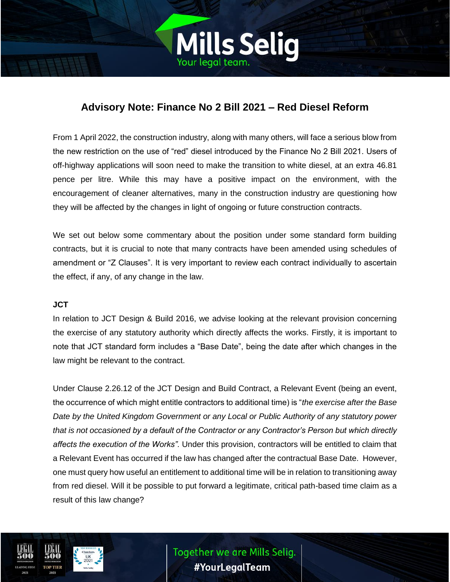

# **Advisory Note: Finance No 2 Bill 2021 – Red Diesel Reform**

From 1 April 2022, the construction industry, along with many others, will face a serious blow from the new restriction on the use of "red" diesel introduced by the Finance No 2 Bill 2021. Users of off-highway applications will soon need to make the transition to white diesel, at an extra 46.81 pence per litre. While this may have a positive impact on the environment, with the encouragement of cleaner alternatives, many in the construction industry are questioning how they will be affected by the changes in light of ongoing or future construction contracts.

We set out below some commentary about the position under some standard form building contracts, but it is crucial to note that many contracts have been amended using schedules of amendment or "Z Clauses". It is very important to review each contract individually to ascertain the effect, if any, of any change in the law.

### **JCT**

In relation to JCT Design & Build 2016, we advise looking at the relevant provision concerning the exercise of any statutory authority which directly affects the works. Firstly, it is important to note that JCT standard form includes a "Base Date", being the date after which changes in the law might be relevant to the contract.

Under Clause 2.26.12 of the JCT Design and Build Contract, a Relevant Event (being an event, the occurrence of which might entitle contractors to additional time) is "*the exercise after the Base Date by the United Kingdom Government or any Local or Public Authority of any statutory power that is not occasioned by a default of the Contractor or any Contractor's Person but which directly affects the execution of the Works".* Under this provision, contractors will be entitled to claim that a Relevant Event has occurred if the law has changed after the contractual Base Date. However, one must query how useful an entitlement to additional time will be in relation to transitioning away from red diesel. Will it be possible to put forward a legitimate, critical path-based time claim as a result of this law change?



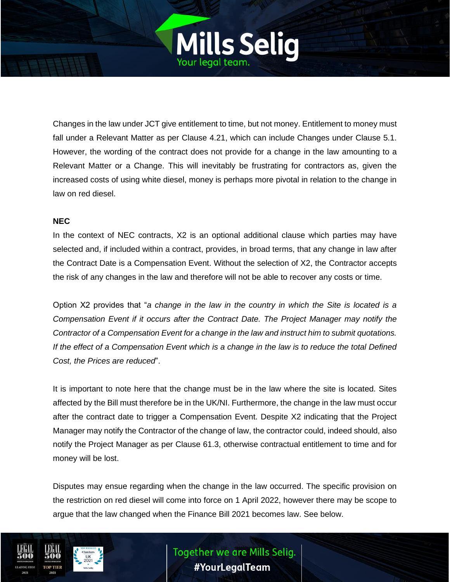

Changes in the law under JCT give entitlement to time, but not money. Entitlement to money must fall under a Relevant Matter as per Clause 4.21, which can include Changes under Clause 5.1. However, the wording of the contract does not provide for a change in the law amounting to a Relevant Matter or a Change. This will inevitably be frustrating for contractors as, given the increased costs of using white diesel, money is perhaps more pivotal in relation to the change in law on red diesel.

#### **NEC**

In the context of NEC contracts, X2 is an optional additional clause which parties may have selected and, if included within a contract, provides, in broad terms, that any change in law after the Contract Date is a Compensation Event. Without the selection of X2, the Contractor accepts the risk of any changes in the law and therefore will not be able to recover any costs or time.

Option X2 provides that "*a change in the law in the country in which the Site is located is a Compensation Event if it occurs after the Contract Date. The Project Manager may notify the Contractor of a Compensation Event for a change in the law and instruct him to submit quotations. If the effect of a Compensation Event which is a change in the law is to reduce the total Defined Cost, the Prices are reduced*".

It is important to note here that the change must be in the law where the site is located. Sites affected by the Bill must therefore be in the UK/NI. Furthermore, the change in the law must occur after the contract date to trigger a Compensation Event. Despite X2 indicating that the Project Manager may notify the Contractor of the change of law, the contractor could, indeed should, also notify the Project Manager as per Clause 61.3, otherwise contractual entitlement to time and for money will be lost.

Disputes may ensue regarding when the change in the law occurred. The specific provision on the restriction on red diesel will come into force on 1 April 2022, however there may be scope to argue that the law changed when the Finance Bill 2021 becomes law. See below.



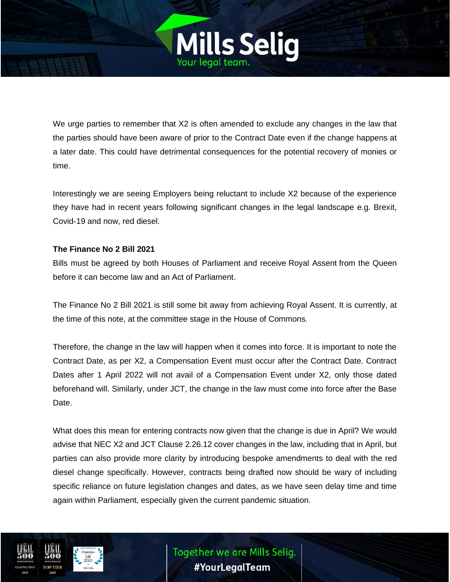

We urge parties to remember that X2 is often amended to exclude any changes in the law that the parties should have been aware of prior to the Contract Date even if the change happens at a later date. This could have detrimental consequences for the potential recovery of monies or time.

Interestingly we are seeing Employers being reluctant to include X2 because of the experience they have had in recent years following significant changes in the legal landscape e.g. Brexit, Covid-19 and now, red diesel.

## **The Finance No 2 Bill 2021**

Bills must be agreed by both Houses of Parliament and receive Royal Assent from the Queen before it can become law and an Act of Parliament.

The Finance No 2 Bill 2021 is still some bit away from achieving Royal Assent. It is currently, at the time of this note, at the committee stage in the House of Commons.

Therefore, the change in the law will happen when it comes into force. It is important to note the Contract Date, as per X2, a Compensation Event must occur after the Contract Date. Contract Dates after 1 April 2022 will not avail of a Compensation Event under X2, only those dated beforehand will. Similarly, under JCT, the change in the law must come into force after the Base Date.

What does this mean for entering contracts now given that the change is due in April? We would advise that NEC X2 and JCT Clause 2.26.12 cover changes in the law, including that in April, but parties can also provide more clarity by introducing bespoke amendments to deal with the red diesel change specifically. However, contracts being drafted now should be wary of including specific reliance on future legislation changes and dates, as we have seen delay time and time again within Parliament, especially given the current pandemic situation.



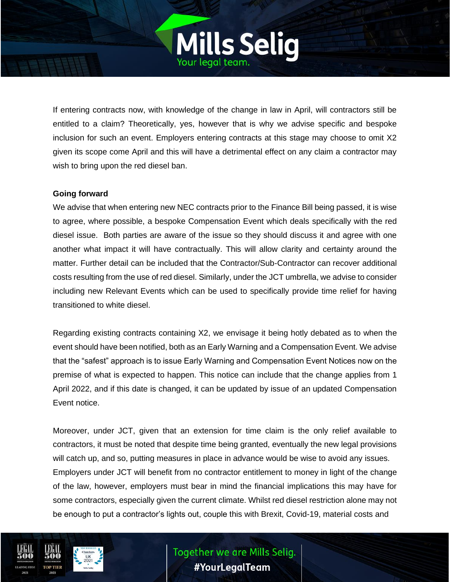If entering contracts now, with knowledge of the change in law in April, will contractors still be entitled to a claim? Theoretically, yes, however that is why we advise specific and bespoke inclusion for such an event. Employers entering contracts at this stage may choose to omit X2 given its scope come April and this will have a detrimental effect on any claim a contractor may wish to bring upon the red diesel ban.

Mills Selig

### **Going forward**

We advise that when entering new NEC contracts prior to the Finance Bill being passed, it is wise to agree, where possible, a bespoke Compensation Event which deals specifically with the red diesel issue. Both parties are aware of the issue so they should discuss it and agree with one another what impact it will have contractually. This will allow clarity and certainty around the matter. Further detail can be included that the Contractor/Sub-Contractor can recover additional costs resulting from the use of red diesel. Similarly, under the JCT umbrella, we advise to consider including new Relevant Events which can be used to specifically provide time relief for having transitioned to white diesel.

Regarding existing contracts containing X2, we envisage it being hotly debated as to when the event should have been notified, both as an Early Warning and a Compensation Event. We advise that the "safest" approach is to issue Early Warning and Compensation Event Notices now on the premise of what is expected to happen. This notice can include that the change applies from 1 April 2022, and if this date is changed, it can be updated by issue of an updated Compensation Event notice.

Moreover, under JCT, given that an extension for time claim is the only relief available to contractors, it must be noted that despite time being granted, eventually the new legal provisions will catch up, and so, putting measures in place in advance would be wise to avoid any issues. Employers under JCT will benefit from no contractor entitlement to money in light of the change of the law, however, employers must bear in mind the financial implications this may have for some contractors, especially given the current climate. Whilst red diesel restriction alone may not be enough to put a contractor's lights out, couple this with Brexit, Covid-19, material costs and

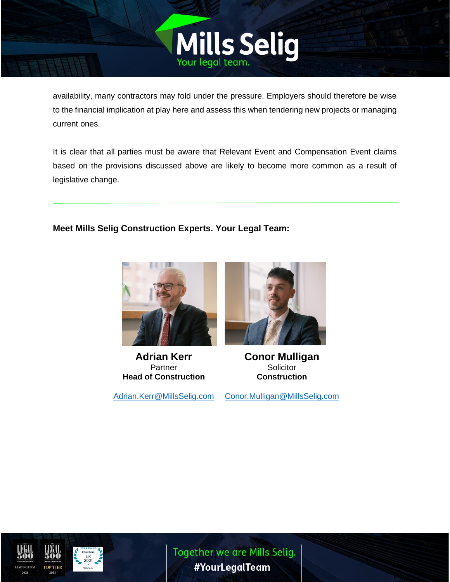

Mills Selig

It is clear that all parties must be aware that Relevant Event and Compensation Event claims based on the provisions discussed above are likely to become more common as a result of legislative change.

**Meet Mills Selig Construction Experts. Your Legal Team:**



**Adrian Kerr Partner Head of Construction**

[Adrian.Kerr@MillsSelig.com](mailto:Adrian.Kerr@MillsSelig.com)



**Conor Mulligan Solicitor Construction**

[Conor.Mulligan@MillsSelig.com](mailto:Conor.Mulligan@MillsSelig.com)